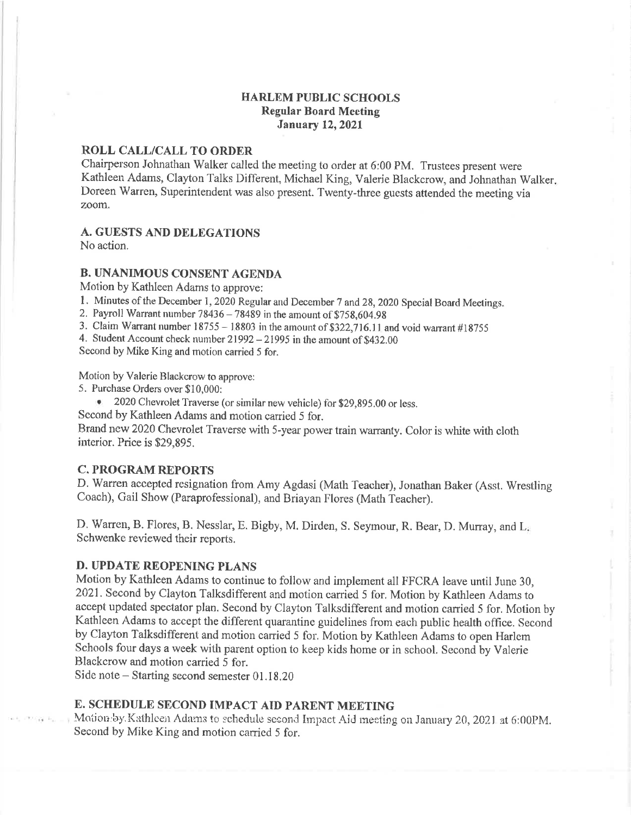### **HARLEM PUBLIC SCHOOLS Regular Board Meeting January 12, 2021**

# ROLL CALL/CALL TO ORDER

Chairperson Johnathan Walker called the meeting to order at 6:00 PM. Trustees present were Kathleen Adams, Clayton Talks Different, Michael King, Valerie Blackcrow, and Johnathan Walker. Doreen Warren, Superintendent was also present. Twenty-three guests attended the meeting via zoom.

# **A. GUESTS AND DELEGATIONS**

No action.

### **B. UNANIMOUS CONSENT AGENDA**

Motion by Kathleen Adams to approve:

1. Minutes of the December 1, 2020 Regular and December 7 and 28, 2020 Special Board Meetings.

2. Payroll Warrant number  $78436 - 78489$  in the amount of \$758,604.98

3. Claim Warrant number  $18755 - 18803$  in the amount of \$322,716.11 and void warrant #18755

4. Student Account check number 21992 - 21995 in the amount of \$432.00

Second by Mike King and motion carried 5 for.

Motion by Valerie Blackcrow to approve:

5. Purchase Orders over \$10,000:

• 2020 Chevrolet Traverse (or similar new vehicle) for \$29,895.00 or less.

Second by Kathleen Adams and motion carried 5 for.

Brand new 2020 Chevrolet Traverse with 5-year power train warranty. Color is white with cloth interior. Price is \$29,895.

### **C. PROGRAM REPORTS**

D. Warren accepted resignation from Amy Agdasi (Math Teacher), Jonathan Baker (Asst. Wrestling Coach), Gail Show (Paraprofessional), and Briayan Flores (Math Teacher).

D. Warren, B. Flores, B. Nesslar, E. Bigby, M. Dirden, S. Seymour, R. Bear, D. Murray, and L. Schwenke reviewed their reports.

### **D. UPDATE REOPENING PLANS**

Motion by Kathleen Adams to continue to follow and implement all FFCRA leave until June 30, 2021. Second by Clayton Talksdifferent and motion carried 5 for. Motion by Kathleen Adams to accept updated spectator plan. Second by Clayton Talksdifferent and motion carried 5 for. Motion by Kathleen Adams to accept the different quarantine guidelines from each public health office. Second by Clayton Talksdifferent and motion carried 5 for. Motion by Kathleen Adams to open Harlem Schools four days a week with parent option to keep kids home or in school. Second by Valerie Blackcrow and motion carried 5 for.

Side note  $-$  Starting second semester 01.18.20

# E. SCHEDULE SECOND IMPACT AID PARENT MEETING

Motion by Kathleen Adams to schedule second Impact Aid meeting on January 20, 2021 at 6:00PM. Second by Mike King and motion carried 5 for.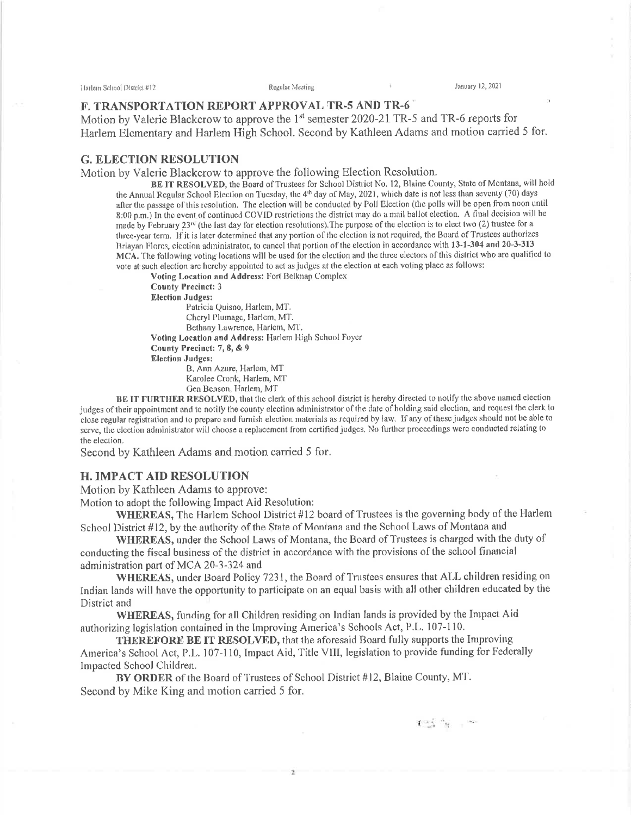Harlein School District #12

January 12, 2021

#### **F. TRANSPORTATION REPORT APPROVAL TR-5 AND TR-6**

Motion by Valerie Blackcrow to approve the 1<sup>st</sup> semester 2020-21 TR-5 and TR-6 reports for Harlem Elementary and Harlem High School. Second by Kathleen Adams and motion carried 5 for.

#### **G. ELECTION RESOLUTION**

Motion by Valerie Blackcrow to approve the following Election Resolution.

BE IT RESOLVED, the Board of Trustees for School District No. 12, Blaine County, State of Montana, will hold the Annual Regular School Election on Tuesday, the 4<sup>th</sup> day of May, 2021, which date is not less than seventy (70) days after the passage of this resolution. The election will be conducted by Poll Election (the polls will be open from noon until 8:00 p.m.) In the event of continued COVID restrictions the district may do a mail ballot election. A final decision will be made by February 23<sup>rd</sup> (the last day for election resolutions). The purpose of the election is to elect two (2) trustee for a three-year term. If it is later determined that any portion of the election is not required, the Board of Trustees authorizes Briavan Flores, election administrator, to cancel that portion of the election in accordance with 13-1-304 and 20-3-313 MCA. The following voting locations will be used for the election and the three electors of this district who are qualified to vote at such election are hereby appointed to act as judges at the election at each voting place as follows:

Voting Location and Address: Fort Belknap Complex

**County Precinct: 3** 

**Election Judges:** 

Patricia Quisno, Harlem, MT. Cheryl Plumage, Harlem, MT. Bethany Lawrence, Harlem, MT. Voting Location and Address: Harlem High School Foyer

County Precinct: 7, 8, & 9

**Election Judges:** 

B. Ann Azure, Harlem, MT Karolee Cronk, Harlem, MT Gen Benson, Harlem, MT

BE IT FURTHER RESOLVED, that the clerk of this school district is hereby directed to notify the above named election judges of their appointment and to notify the county election administrator of the date of holding said election, and request the clerk to close regular registration and to prepare and furnish election materials as required by law. If any of these judges should not be able to serve, the election administrator will choose a replacement from certified judges. No further proceedings were conducted relating to the election.

Second by Kathleen Adams and motion carried 5 for.

#### **H. IMPACT AID RESOLUTION**

Motion by Kathleen Adams to approve:

Motion to adopt the following Impact Aid Resolution:

WHEREAS, The Harlem School District #12 board of Trustees is the governing body of the Harlem School District #12, by the authority of the State of Montana and the School Laws of Montana and

WHEREAS, under the School Laws of Montana, the Board of Trustees is charged with the duty of conducting the fiscal business of the district in accordance with the provisions of the school financial administration part of MCA 20-3-324 and

WHEREAS, under Board Policy 7231, the Board of Trustees ensures that ALL children residing on Indian lands will have the opportunity to participate on an equal basis with all other children educated by the District and

WHEREAS, funding for all Children residing on Indian lands is provided by the Impact Aid authorizing legislation contained in the Improving America's Schools Act, P.L. 107-110.

THEREFORE BE IT RESOLVED, that the aforesaid Board fully supports the Improving America's School Act, P.L. 107-110, Impact Aid, Title VIII, legislation to provide funding for Federally Impacted School Children.

BY ORDER of the Board of Trustees of School District #12, Blaine County, MT. Second by Mike King and motion carried 5 for.

 $\label{eq:q0} \mathbf{f}^{(m,\mathbf{q})}_{\mathbf{q}} \stackrel{\alpha}{\longrightarrow} \mathbf{g}^{(m,\mathbf{q})}_{\mathbf{q}} \longrightarrow \mathbf{g}^{(m,\mathbf{q})}_{\mathbf{q}}$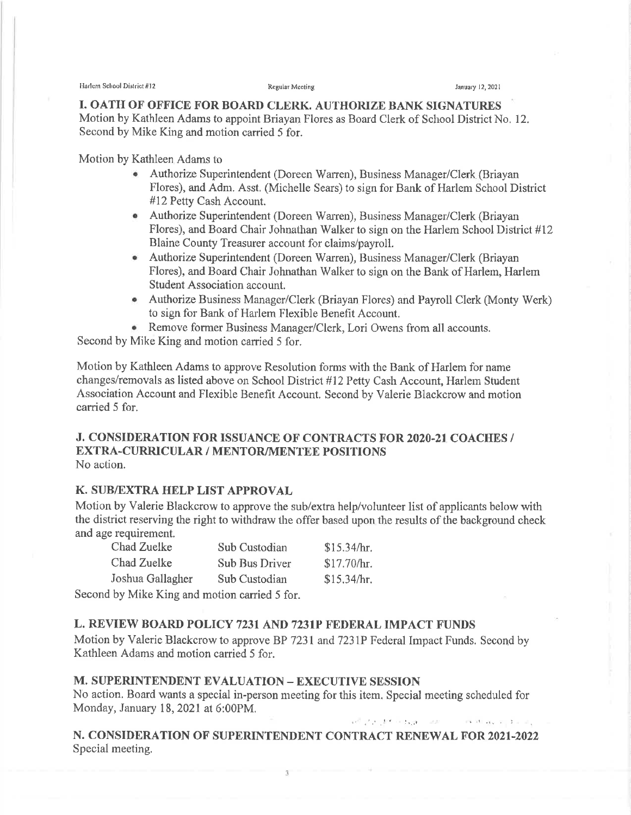Ilarlem School District #12 **Example 2021** Regular Mecting **Figure 12, 2021** *January 12, 2021* 

I. OATH OF OFFICE FOR BOARD CLERK. AUTHORIZE BANK SIGNATURES Motion by Kathleen Adams to appoint Briayan Flores as Board Clerk of School District No. 12. Second by Mike King and motion carried 5 for.

Motion by Kathleen Adams to

- Authorize Superintendent (Doreen Warren), Business Manager/Clerk (Briayan Flores), and Adm. Asst. (Michelle Sears) to sign for Bank of Harlem School District #12 Petty Cash Account.
- ¡ Authorize Superintendent (Doreen Warren), Business Manager/Clerk (Briayan Flores), and Board Chair Johnathan Walker to sign on the Harlem School District #12 Blaine County Treasurer account for claims/payroll.
- Authorize Superintendent (Doreen Warren), Business Manager/Clerk (Briayan Flores), and Board Chair Johnathan Walker to sign on the Bank of Harlem, Harlem Student Association account.
- Authorize Business Manager/Clerk (Briayan Flores) and Payroll Clerk (Monty Werk) to sign for Bank of Harlem Flexible Benefit Account.
- e Remove former Business Manager/Clerk, Lori Owens from all accounts.

Second by Mike King and motion carried 5 for.

Motion by Kathleen Adams to approve Resolution forms with the Bank of Harlem for name changes/removals as listed above on School District #12 Petty Cash Account, Harlem Student Association Account and Flexible Benefit Account. Second by Valerie Blackcrow and motion carried 5 for.

### J. CONSIDERATION FOR ISSUANCE OF CONTRACTS FOR 2020-21 COACHES / EXTRA-CURRICULAR / MENTOR/MENTEE POSITIONS No action.

### K. SUB/EXTRA HELP LIST APPROVAL

Motion by Valerie Blackcrow to approve the sub/extra help/volunteer list of applicants below with the district reserving the right to withdraw the offer based upon the results of the background check and age requirement.

| Chad Zuelke      | Sub Custodian                                                | \$15.34/hr. |
|------------------|--------------------------------------------------------------|-------------|
| Chad Zuelke      | <b>Sub Bus Driver</b>                                        | \$17.70/hr. |
| Joshua Gallagher | Sub Custodian                                                | \$15,34/hr. |
|                  | $\frac{1}{2}$ by Milco Ving and motion comind $\epsilon$ for |             |

Second by Mike King and motion carried 5 for.

### L. REVIEW BOARD POLICY 7231 AND 7231P FEDERAL IMPACT FUNDS

Motion by Valerie Blackcrow to approve BP 7231 and 7231P Federal Impact Funds. Second by Kathleen Adams and motion carried 5 for.

# M. SUPERINTENDENT EVALUATION - EXECUTIVE SESSION

No action. Board wants a special in-person meeting for this item. Special meeting scheduled for Monday, January 18,2021at 6:00PM.

## N. CONSIDERATION OF SUPERINTENDENT CONTRACT RENEWAL FOR 2021-2022 Special meeting.

3

¡' .',' !' ,',-.t . i,,. : .